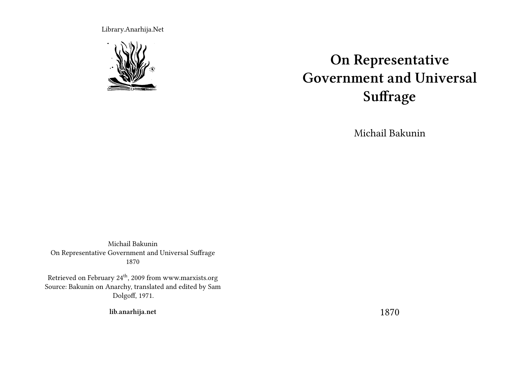Library.Anarhija.Net



## **On Representative Government and Universal Suffrage**

Michail Bakunin

Michail Bakunin On Representative Government and Universal Suffrage 1870

Retrieved on February  $24^{\rm th}$ , 2009 from www.marxists.org Source: Bakunin on Anarchy, translated and edited by Sam Dolgoff, 1971.

**lib.anarhija.net**

1870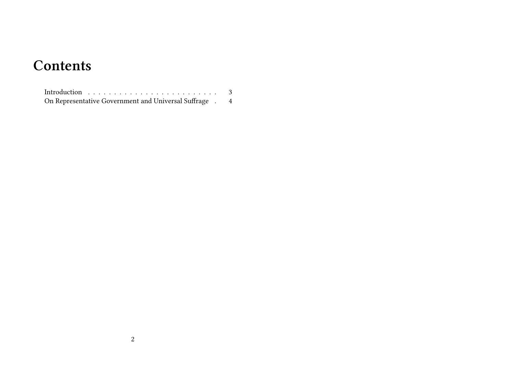## **Contents**

| On Representative Government and Universal Suffrage . 4 |  |
|---------------------------------------------------------|--|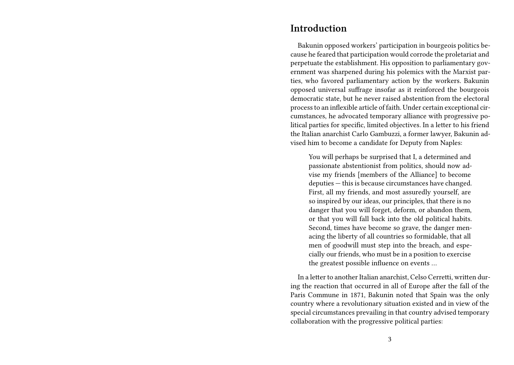## **Introduction**

Bakunin opposed workers' participation in bourgeois politics because he feared that participation would corrode the proletariat and perpetuate the establishment. His opposition to parliamentary government was sharpened during his polemics with the Marxist parties, who favored parliamentary action by the workers. Bakunin opposed universal suffrage insofar as it reinforced the bourgeois democratic state, but he never raised abstention from the electoral process to an inflexible article of faith. Under certain exceptional circumstances, he advocated temporary alliance with progressive political parties for specific, limited objectives. In a letter to his friend the Italian anarchist Carlo Gambuzzi, a former lawyer, Bakunin advised him to become a candidate for Deputy from Naples:

You will perhaps be surprised that I, a determined and passionate abstentionist from politics, should now advise my friends [members of the Alliance] to become deputies — this is because circumstances have changed. First, all my friends, and most assuredly yourself, are so inspired by our ideas, our principles, that there is no danger that you will forget, deform, or abandon them, or that you will fall back into the old political habits. Second, times have become so grave, the danger menacing the liberty of all countries so formidable, that all men of goodwill must step into the breach, and especially our friends, who must be in a position to exercise the greatest possible influence on events …

In a letter to another Italian anarchist, Celso Cerretti, written during the reaction that occurred in all of Europe after the fall of the Paris Commune in 1871, Bakunin noted that Spain was the only country where a revolutionary situation existed and in view of the special circumstances prevailing in that country advised temporary collaboration with the progressive political parties: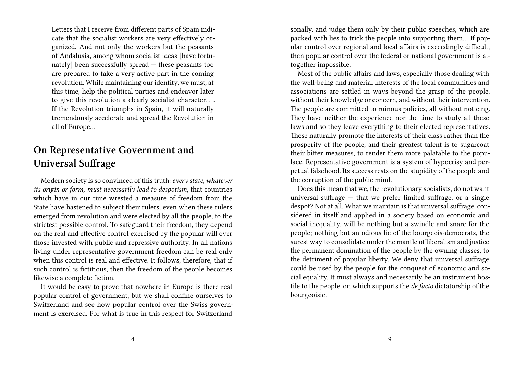Letters that I receive from different parts of Spain indicate that the socialist workers are very effectively organized. And not only the workers but the peasants of Andalusia, among whom socialist ideas [have fortunately] been successfully spread — these peasants too are prepared to take a very active part in the coming revolution. While maintaining our identity, we must, at this time, help the political parties and endeavor later to give this revolution a clearly socialist character… . If the Revolution triumphs in Spain, it will naturally tremendously accelerate and spread the Revolution in all of Europe…

## **On Representative Government and Universal Suffrage**

Modern society is so convinced of this truth: *every state, whatever its origin or form, must necessarily lead to despotism*, that countries which have in our time wrested a measure of freedom from the State have hastened to subject their rulers, even when these rulers emerged from revolution and were elected by all the people, to the strictest possible control. To safeguard their freedom, they depend on the real and effective control exercised by the popular will over those invested with public and repressive authority. In all nations living under representative government freedom can be real only when this control is real and effective. It follows, therefore, that if such control is fictitious, then the freedom of the people becomes likewise a complete fiction.

It would be easy to prove that nowhere in Europe is there real popular control of government, but we shall confine ourselves to Switzerland and see how popular control over the Swiss government is exercised. For what is true in this respect for Switzerland

sonally. and judge them only by their public speeches, which are packed with lies to trick the people into supporting them… If popular control over regional and local affairs is exceedingly difficult, then popular control over the federal or national government is altogether impossible.

Most of the public affairs and laws, especially those dealing with the well-being and material interests of the local communities and associations are settled in ways beyond the grasp of the people, without their knowledge or concern, and without their intervention. The people are committed to ruinous policies, all without noticing. They have neither the experience nor the time to study all these laws and so they leave everything to their elected representatives. These naturally promote the interests of their class rather than the prosperity of the people, and their greatest talent is to sugarcoat their bitter measures, to render them more palatable to the populace. Representative government is a system of hypocrisy and perpetual falsehood. Its success rests on the stupidity of the people and the corruption of the public mind.

Does this mean that we, the revolutionary socialists, do not want universal suffrage  $-$  that we prefer limited suffrage, or a single despot? Not at all. What we maintain is that universal suffrage, considered in itself and applied in a society based on economic and social inequality, will be nothing but a swindle and snare for the people; nothing but an odious lie of the bourgeois-democrats, the surest way to consolidate under the mantle of liberalism and justice the permanent domination of the people by the owning classes, to the detriment of popular liberty. We deny that universal suffrage could be used by the people for the conquest of economic and social equality. It must always and necessarily be an instrument hostile to the people, on which supports the *de facto* dictatorship of the bourgeoisie.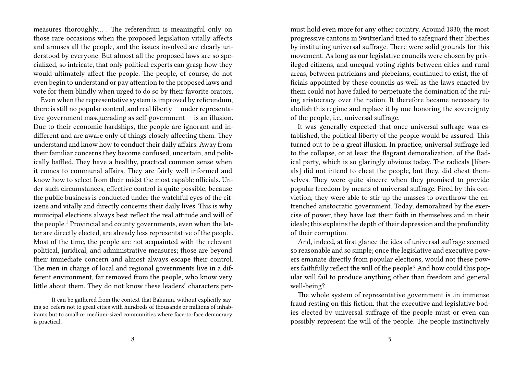measures thoroughly… . The referendum is meaningful only on those rare occasions when the proposed legislation vitally affects and arouses all the people, and the issues involved are clearly understood by everyone. But almost all the proposed laws are so specialized, so intricate, that only political experts can grasp how they would ultimately affect the people. The people, of course, do not even begin to understand or pay attention to the proposed laws and vote for them blindly when urged to do so by their favorite orators.

Even when the representative system is improved by referendum, there is still no popular control, and real liberty — under representative government masquerading as self-government — is an illusion. Due to their economic hardships, the people are ignorant and indifferent and are aware only of things closely affecting them. They understand and know how to conduct their daily affairs. Away from their familiar concerns they become confused, uncertain, and politically baffled. They have a healthy, practical common sense when it comes to communal affairs. They are fairly well informed and know how to select from their midst the most capable officials. Under such circumstances, effective control is quite possible, because the public business is conducted under the watchful eyes of the citizens and vitally and directly concerns their daily lives. This is why municipal elections always best reflect the real attitude and will of the people.<sup>1</sup> Provincial and county governments, even when the latter are directly elected, are already less representative of the people. Most of the time, the people are not acquainted with the relevant political, juridical, and administrative measures; those are beyond their immediate concern and almost always escape their control. The men in charge of local and regional governments live in a different environment, far removed from the people, who know very little about them. They do not know these leaders' characters permust hold even more for any other country. Around 1830, the most progressive cantons in Switzerland tried to safeguard their liberties by instituting universal suffrage. There were solid grounds for this movement. As long as our legislative councils were chosen by privileged citizens, and unequal voting rights between cities and rural areas, between patricians and plebeians, continued to exist, the officials appointed by these councils as well as the laws enacted by them could not have failed to perpetuate the domination of the ruling aristocracy over the nation. It therefore became necessary to abolish this regime and replace it by one honoring the sovereignty of the people, i.e., universal suffrage.

It was generally expected that once universal suffrage was established, the political liberty of the people would be assured. This turned out to be a great illusion. In practice, universal suffrage led to the collapse, or at least the flagrant demoralization, of the Radical party, which is so glaringly obvious today. The radicals [liberals] did not intend to cheat the people, but they. did cheat themselves. They were quite sincere when they promised to provide popular freedom by means of universal suffrage. Fired by this conviction, they were able to stir up the masses to overthrow the entrenched aristocratic government. Today, demoralized by the exercise of power, they have lost their faith in themselves and in their ideals; this explains the depth of their depression and the profundity of their corruption.

And, indeed, at first glance the idea of universal suffrage seemed so reasonable and so simple; once the legislative and executive powers emanate directly from popular elections, would not these powers faithfully reflect the will of the people? And how could this popular will fail to produce anything other than freedom and general well-being?

The whole system of representative government is .in immense fraud resting on this fiction. that the executive and legislative bodies elected by universal suffrage of the people must or even can possibly represent the will of the people. The people instinctively

<sup>&</sup>lt;sup>1</sup> It can be gathered from the context that Bakunin, without explicitly saying so, refers not to great cities with hundreds of thousands or millions of inhabitants but to small or medium-sized communities where face-to-face democracy is practical.